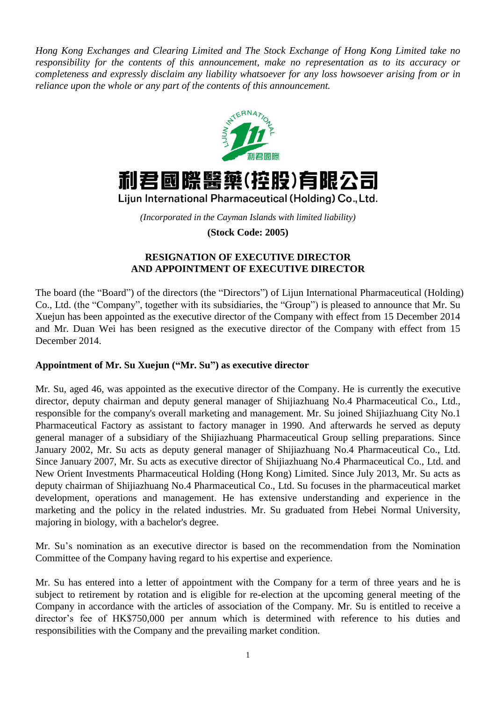*Hong Kong Exchanges and Clearing Limited and The Stock Exchange of Hong Kong Limited take no responsibility for the contents of this announcement, make no representation as to its accuracy or completeness and expressly disclaim any liability whatsoever for any loss howsoever arising from or in reliance upon the whole or any part of the contents of this announcement.*



## 利君國際醫藥(控股)有限公司

Lijun International Pharmaceutical (Holding) Co., Ltd.

*(Incorporated in the Cayman Islands with limited liability)*

**(Stock Code: 2005)**

## **RESIGNATION OF EXECUTIVE DIRECTOR AND APPOINTMENT OF EXECUTIVE DIRECTOR**

The board (the "Board") of the directors (the "Directors") of Lijun International Pharmaceutical (Holding) Co., Ltd. (the "Company", together with its subsidiaries, the "Group") is pleased to announce that Mr. Su Xuejun has been appointed as the executive director of the Company with effect from 15 December 2014 and Mr. Duan Wei has been resigned as the executive director of the Company with effect from 15 December 2014.

## **Appointment of Mr. Su Xuejun ("Mr. Su") as executive director**

Mr. Su, aged 46, was appointed as the executive director of the Company. He is currently the executive director, deputy chairman and deputy general manager of Shijiazhuang No.4 Pharmaceutical Co., Ltd., responsible for the company's overall marketing and management. Mr. Su joined Shijiazhuang City No.1 Pharmaceutical Factory as assistant to factory manager in 1990. And afterwards he served as deputy general manager of a subsidiary of the Shijiazhuang Pharmaceutical Group selling preparations. Since January 2002, Mr. Su acts as deputy general manager of Shijiazhuang No.4 Pharmaceutical Co., Ltd. Since January 2007, Mr. Su acts as executive director of Shijiazhuang No.4 Pharmaceutical Co., Ltd. and New Orient Investments Pharmaceutical Holding (Hong Kong) Limited. Since July 2013, Mr. Su acts as deputy chairman of Shijiazhuang No.4 Pharmaceutical Co., Ltd. Su focuses in the pharmaceutical market development, operations and management. He has extensive understanding and experience in the marketing and the policy in the related industries. Mr. Su graduated from Hebei Normal University, majoring in biology, with a bachelor's degree.

Mr. Su's nomination as an executive director is based on the recommendation from the Nomination Committee of the Company having regard to his expertise and experience.

Mr. Su has entered into a letter of appointment with the Company for a term of three years and he is subject to retirement by rotation and is eligible for re-election at the upcoming general meeting of the Company in accordance with the articles of association of the Company. Mr. Su is entitled to receive a director's fee of HK\$750,000 per annum which is determined with reference to his duties and responsibilities with the Company and the prevailing market condition.